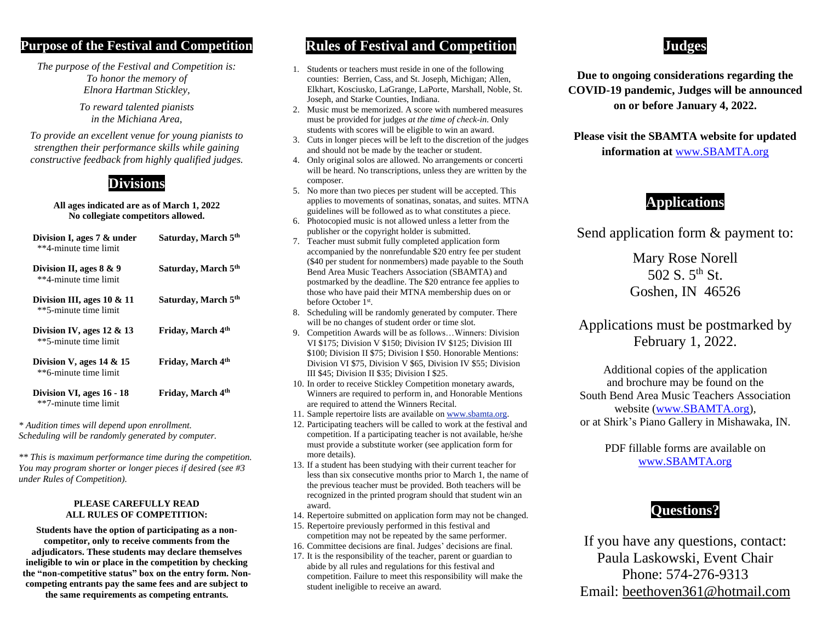#### **Purpose of the Festival and Competition**

*The purpose of the Festival and Competition is: To honor the memory of Elnora Hartman Stickley,*

> *To reward talented pianists in the Michiana Area,*

*To provide an excellent venue for young pianists to strengthen their performance skills while gaining constructive feedback from highly qualified judges.*

## **Divisions**

#### **All ages indicated are as of March 1, 2022 No collegiate competitors allowed.**

| Division I, ages $7 \&$ under<br>**4-minute time limit | Saturday, March 5th           |
|--------------------------------------------------------|-------------------------------|
| Division II, ages $8 \& 9$<br>**4-minute time limit    | Saturday, March 5th           |
| Division III, ages $10 \& 11$<br>**5-minute time limit | Saturday, March 5th           |
| Division IV, ages $12 \& 13$<br>**5-minute time limit  | Friday, March 4 <sup>th</sup> |
| Division V, ages $14 \& 15$<br>**6-minute time limit   | Friday, March 4 <sup>th</sup> |
| Division VI, ages 16 - 18<br>**7-minute time limit     | Friday, March 4th             |

*\* Audition times will depend upon enrollment. Scheduling will be randomly generated by computer.*

*\*\* This is maximum performance time during the competition. You may program shorter or longer pieces if desired (see #3 under Rules of Competition).*

#### **PLEASE CAREFULLY READ ALL RULES OF COMPETITION:**

**Students have the option of participating as a noncompetitor, only to receive comments from the adjudicators. These students may declare themselves ineligible to win or place in the competition by checking the "non-competitive status" box on the entry form. Noncompeting entrants pay the same fees and are subject to the same requirements as competing entrants.**

### **Rules of Festival and Competition**

- 1. Students or teachers must reside in one of the following counties: Berrien, Cass, and St. Joseph, Michigan; Allen, Elkhart, Kosciusko, LaGrange, LaPorte, Marshall, Noble, St. Joseph, and Starke Counties, Indiana.
- 2. Music must be memorized. A score with numbered measures must be provided for judges *at the time of check-in*. Only students with scores will be eligible to win an award.
- 3. Cuts in longer pieces will be left to the discretion of the judges and should not be made by the teacher or student.
- 4. Only original solos are allowed. No arrangements or concerti will be heard. No transcriptions, unless they are written by the composer.
- 5. No more than two pieces per student will be accepted. This applies to movements of sonatinas, sonatas, and suites. MTNA guidelines will be followed as to what constitutes a piece.
- 6. Photocopied music is not allowed unless a letter from the publisher or the copyright holder is submitted.
- 7. Teacher must submit fully completed application form accompanied by the nonrefundable \$20 entry fee per student (\$40 per student for nonmembers) made payable to the South Bend Area Music Teachers Association (SBAMTA) and postmarked by the deadline. The \$20 entrance fee applies to those who have paid their MTNA membership dues on or before October 1st.
- 8. Scheduling will be randomly generated by computer. There will be no changes of student order or time slot.
- 9. Competition Awards will be as follows…Winners: Division VI \$175; Division V \$150; Division IV \$125; Division III \$100; Division II \$75; Division I \$50. Honorable Mentions: Division VI \$75, Division V \$65, Division IV \$55; Division III \$45; Division II \$35; Division I \$25.
- 10. In order to receive Stickley Competition monetary awards, Winners are required to perform in, and Honorable Mentions are required to attend the Winners Recital.
- 11. Sample repertoire lists are available on [www.sbamta.org.](http://www.sbamta.org/)
- 12. Participating teachers will be called to work at the festival and competition. If a participating teacher is not available, he/she must provide a substitute worker (see application form for more details).
- 13. If a student has been studying with their current teacher for less than six consecutive months prior to March 1, the name of the previous teacher must be provided. Both teachers will be recognized in the printed program should that student win an award.
- 14. Repertoire submitted on application form may not be changed.
- 15. Repertoire previously performed in this festival and competition may not be repeated by the same performer.
- 16. Committee decisions are final. Judges' decisions are final.
- 17. It is the responsibility of the teacher, parent or guardian to abide by all rules and regulations for this festival and competition. Failure to meet this responsibility will make the student ineligible to receive an award.

## **Judges**

**Due to ongoing considerations regarding the COVID-19 pandemic, Judges will be announced on or before January 4, 2022.**

**Please visit the SBAMTA website for updated information at** [www.SBAMTA.org](http://www.sbamta.org/)

## **Applications**

Send application form & payment to:

Mary Rose Norell 502 S. 5<sup>th</sup> St. Goshen, IN 46526

Applications must be postmarked by February 1, 2022.

Additional copies of the application and brochure may be found on the South Bend Area Music Teachers Association website [\(www.SBAMTA.org\)](http://www.sbamta.org/), or at Shirk's Piano Gallery in Mishawaka, IN.

> PDF fillable forms are available on [www.SBAMTA.org](http://www.sbamta.org/)

### **Questions?**

If you have any questions, contact: Paula Laskowski, Event Chair Phone: 574-276-9313 Email: [beethoven361@hotmail.com](mailto:beethoven361@hotmail.com)